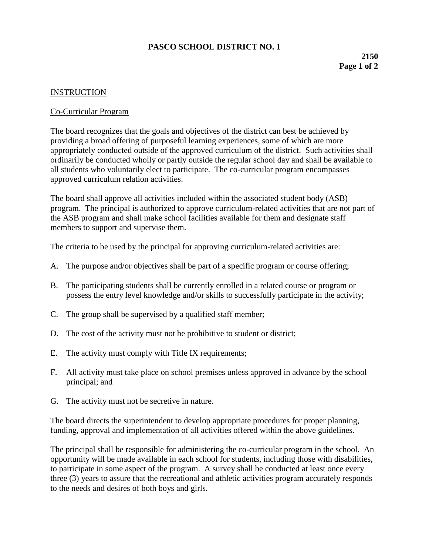## **PASCO SCHOOL DISTRICT NO. 1**

## **2150 Page 1 of 2**

## **INSTRUCTION**

## Co-Curricular Program

The board recognizes that the goals and objectives of the district can best be achieved by providing a broad offering of purposeful learning experiences, some of which are more appropriately conducted outside of the approved curriculum of the district. Such activities shall ordinarily be conducted wholly or partly outside the regular school day and shall be available to all students who voluntarily elect to participate. The co-curricular program encompasses approved curriculum relation activities.

The board shall approve all activities included within the associated student body (ASB) program. The principal is authorized to approve curriculum-related activities that are not part of the ASB program and shall make school facilities available for them and designate staff members to support and supervise them.

The criteria to be used by the principal for approving curriculum-related activities are:

- A. The purpose and/or objectives shall be part of a specific program or course offering;
- B. The participating students shall be currently enrolled in a related course or program or possess the entry level knowledge and/or skills to successfully participate in the activity;
- C. The group shall be supervised by a qualified staff member;
- D. The cost of the activity must not be prohibitive to student or district;
- E. The activity must comply with Title IX requirements;
- F. All activity must take place on school premises unless approved in advance by the school principal; and
- G. The activity must not be secretive in nature.

The board directs the superintendent to develop appropriate procedures for proper planning, funding, approval and implementation of all activities offered within the above guidelines.

The principal shall be responsible for administering the co-curricular program in the school. An opportunity will be made available in each school for students, including those with disabilities, to participate in some aspect of the program. A survey shall be conducted at least once every three (3) years to assure that the recreational and athletic activities program accurately responds to the needs and desires of both boys and girls.